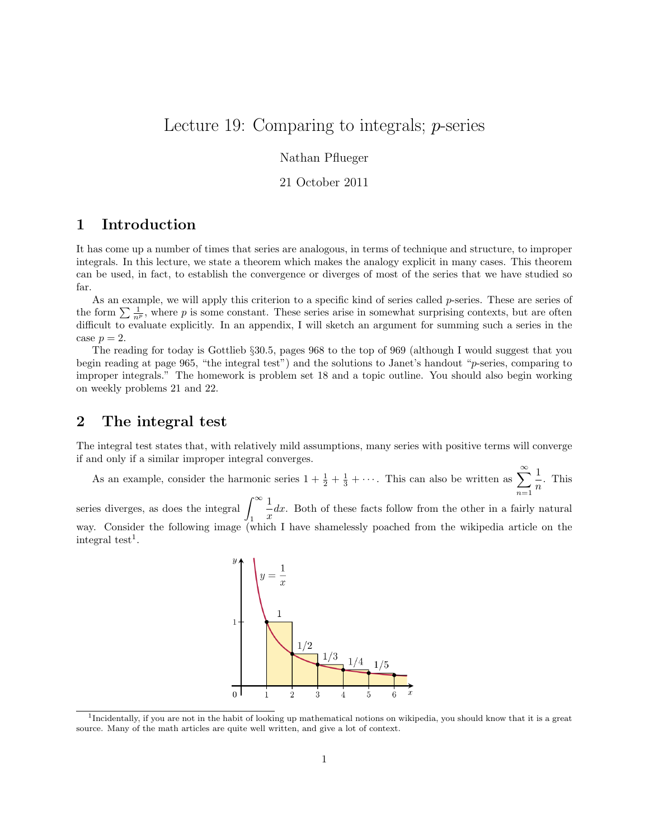# Lecture 19: Comparing to integrals; p-series

Nathan Pflueger

#### 21 October 2011

## 1 Introduction

It has come up a number of times that series are analogous, in terms of technique and structure, to improper integrals. In this lecture, we state a theorem which makes the analogy explicit in many cases. This theorem can be used, in fact, to establish the convergence or diverges of most of the series that we have studied so far.

As an example, we will apply this criterion to a specific kind of series called p-series. These are series of the form  $\sum \frac{1}{n^p}$ , where p is some constant. These series arise in somewhat surprising contexts, but are often difficult to evaluate explicitly. In an appendix, I will sketch an argument for summing such a series in the case  $p = 2$ .

The reading for today is Gottlieb §30.5, pages 968 to the top of 969 (although I would suggest that you begin reading at page 965, "the integral test") and the solutions to Janet's handout "p-series, comparing to improper integrals." The homework is problem set 18 and a topic outline. You should also begin working on weekly problems 21 and 22.

### 2 The integral test

The integral test states that, with relatively mild assumptions, many series with positive terms will converge if and only if a similar improper integral converges.

As an example, consider the harmonic series  $1 + \frac{1}{2} + \frac{1}{3} + \cdots$ . This can also be written as  $\sum^{\infty}$  $n=1$ 1  $\frac{1}{n}$ . This

series diverges, as does the integral  $\int_{-\infty}^{\infty}$ 1 1  $\frac{1}{x}dx$ . Both of these facts follow from the other in a fairly natural way. Consider the following image (which I have shamelessly poached from the wikipedia article on the  $\text{integral test}^1$ .



<sup>1</sup> Incidentally, if you are not in the habit of looking up mathematical notions on wikipedia, you should know that it is a great source. Many of the math articles are quite well written, and give a lot of context.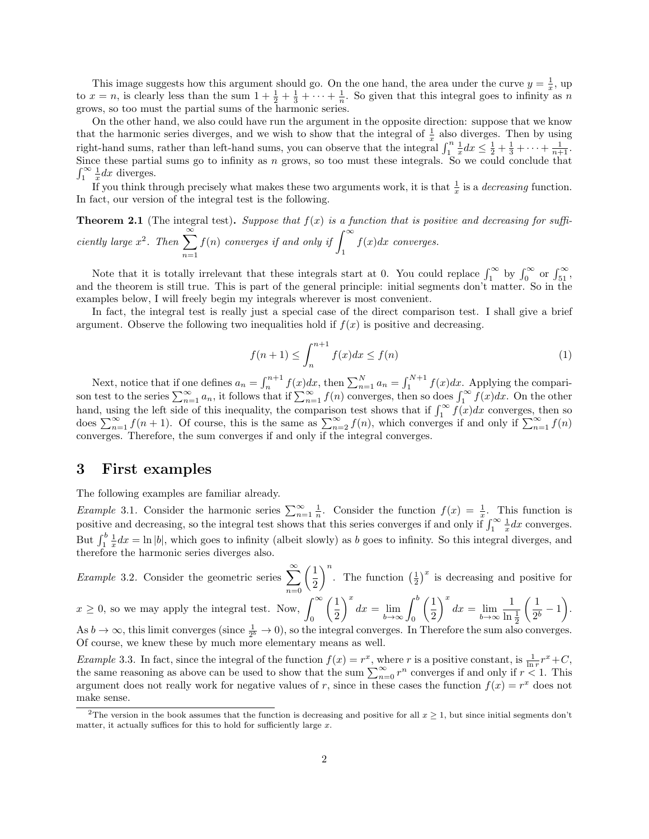This image suggests how this argument should go. On the one hand, the area under the curve  $y = \frac{1}{x}$ , up to  $x = n$ , is clearly less than the sum  $1 + \frac{1}{2} + \frac{1}{3} + \cdots + \frac{1}{n}$ . So given that this integral goes to infinity as n grows, so too must the partial sums of the harmonic series.

On the other hand, we also could have run the argument in the opposite direction: suppose that we know that the harmonic series diverges, and we wish to show that the integral of  $\frac{1}{x}$  also diverges. Then by using right-hand sums, rather than left-hand sums, you can observe that the integral  $\int_1^n \frac{1}{x} dx \leq \frac{1}{2} + \frac{1}{3} + \cdots + \frac{1}{n+1}$ . Since these partial sums go to infinity as n grows, so too must these integrals. So we could conclude that  $\int_1^\infty \frac{1}{x} dx$  diverges.

If you think through precisely what makes these two arguments work, it is that  $\frac{1}{x}$  is a *decreasing* function. In fact, our version of the integral test is the following.

**Theorem 2.1** (The integral test). Suppose that  $f(x)$  is a function that is positive and decreasing for sufficiently large  $x^2$ . Then  $\sum_{n=1}^{\infty}$  $n=1$  $f(n)$  converges if and only if  $\int_{0}^{\infty}$ 1  $f(x)dx$  converges.

Note that it is totally irrelevant that these integrals start at 0. You could replace  $\int_1^\infty$  by  $\int_0^\infty$  or  $\int_{51}^\infty$ , and the theorem is still true. This is part of the general principle: initial segments don't matter. So in the examples below, I will freely begin my integrals wherever is most convenient.

In fact, the integral test is really just a special case of the direct comparison test. I shall give a brief argument. Observe the following two inequalities hold if  $f(x)$  is positive and decreasing.

$$
f(n+1) \le \int_{n}^{n+1} f(x)dx \le f(n)
$$
\n<sup>(1)</sup>

Next, notice that if one defines  $a_n = \int_n^{n+1} f(x)dx$ , then  $\sum_{n=1}^N a_n = \int_1^{N+1} f(x)dx$ . Applying the comparison test to the series  $\sum_{n=1}^{\infty} a_n$ , it follows that if  $\sum_{n=1}^{\infty} f(n)$  converges, then so does  $\int_{1}^{\infty} f(x)dx$ . On the other hand, using the left side of this inequality, the comparison test shows that if  $\int_1^{\infty} f(x)dx$  converges, then so does  $\sum_{n=1}^{\infty} f(n+1)$ . Of course, this is the same as  $\sum_{n=2}^{\infty} f(n)$ , which converges if and only if  $\sum_{n=1}^{\infty} f(n)$ converges. Therefore, the sum converges if and only if the integral converges.

#### 3 First examples

The following examples are familiar already.

*Example* 3.1. Consider the harmonic series  $\sum_{n=1}^{\infty} \frac{1}{n}$ . Consider the function  $f(x) = \frac{1}{x}$ . This function is positive and decreasing, so the integral test shows that this series converges if and only if  $\int_1^\infty \frac{1}{x} dx$  converges. But  $\int_1^b \frac{1}{x} dx = \ln |b|$ , which goes to infinity (albeit slowly) as b goes to infinity. So this integral diverges, and therefore the harmonic series diverges also.

*Example* 3.2. Consider the geometric series  $\sum_{n=1}^{\infty}$  $n=0$  $\sqrt{1}$ 2 )<sup>n</sup>. The function  $\left(\frac{1}{2}\right)^x$  is decreasing and positive for

$$
x \ge 0
$$
, so we may apply the integral test. Now,  $\int_0^\infty \left(\frac{1}{2}\right)^x dx = \lim_{b \to \infty} \int_0^b \left(\frac{1}{2}\right)^x dx = \lim_{b \to \infty} \frac{1}{\ln \frac{1}{2}} \left(\frac{1}{2^b} - 1\right)$ .

As  $b \to \infty$ , this limit converges (since  $\frac{1}{2^b} \to 0$ ), so the integral converges. In Therefore the sum also converges. Of course, we knew these by much more elementary means as well.

*Example* 3.3. In fact, since the integral of the function  $f(x) = r^x$ , where r is a positive constant, is  $\frac{1}{\ln r}r^x + C$ , the same reasoning as above can be used to show that the sum  $\sum_{n=0}^{\infty} r^n$  converges if and only if  $r < 1$ . This argument does not really work for negative values of r, since in these cases the function  $f(x) = r^x$  does not make sense.

<sup>&</sup>lt;sup>2</sup>The version in the book assumes that the function is decreasing and positive for all  $x \ge 1$ , but since initial segments don't matter, it actually suffices for this to hold for sufficiently large  $x$ .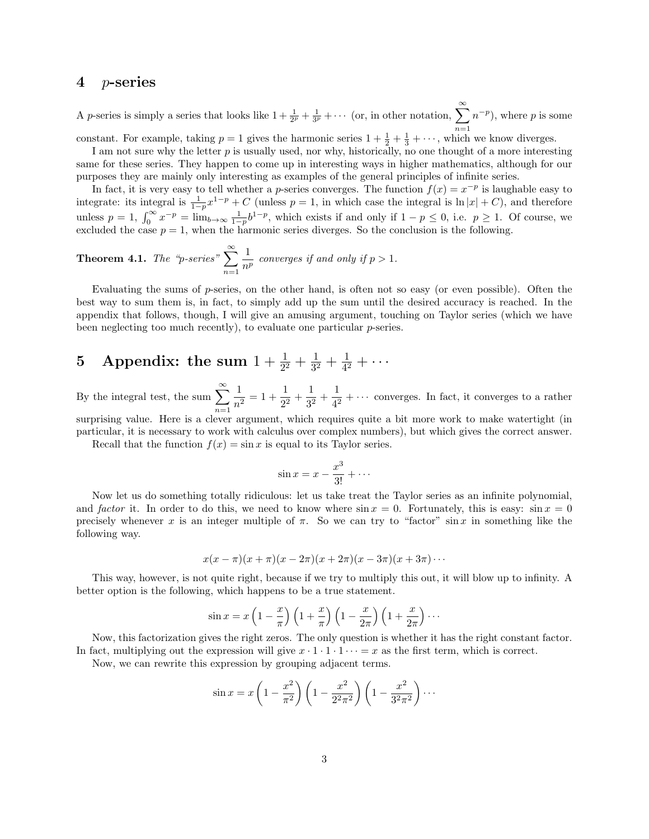#### 4 p-series

A *p*-series is simply a series that looks like  $1 + \frac{1}{2^p} + \frac{1}{3^p} + \cdots$  (or, in other notation,  $\sum^{\infty}$  $n=1$  $(n^{-p})$ , where p is some

constant. For example, taking  $p = 1$  gives the harmonic series  $1 + \frac{1}{2} + \frac{1}{3} + \cdots$ , which we know diverges.

I am not sure why the letter  $p$  is usually used, nor why, historically, no one thought of a more interesting same for these series. They happen to come up in interesting ways in higher mathematics, although for our purposes they are mainly only interesting as examples of the general principles of infinite series.

In fact, it is very easy to tell whether a p-series converges. The function  $f(x) = x^{-p}$  is laughable easy to integrate: its integral is  $\frac{1}{1-p}x^{1-p} + C$  (unless  $p = 1$ , in which case the integral is  $\ln |x| + C$ ), and therefore unless  $p = 1$ ,  $\int_0^\infty x^{-p} = \lim_{b \to \infty} \frac{1}{1-p} b^{1-p}$ , which exists if and only if  $1 - p \le 0$ , i.e.  $p \ge 1$ . Of course, we excluded the case  $p = 1$ , when the harmonic series diverges. So the conclusion is the following.

**Theorem 4.1.** The "p-series" 
$$
\sum_{n=1}^{\infty} \frac{1}{n^p}
$$
 converges if and only if  $p > 1$ .

Evaluating the sums of  $p$ -series, on the other hand, is often not so easy (or even possible). Often the best way to sum them is, in fact, to simply add up the sum until the desired accuracy is reached. In the appendix that follows, though, I will give an amusing argument, touching on Taylor series (which we have been neglecting too much recently), to evaluate one particular  $p$ -series.

#### 5 Appendix: the sum  $1 + \frac{1}{2^2} + \frac{1}{3^2}$  $\frac{1}{3^2} + \frac{1}{4^2}$  $\frac{1}{4^2}+\cdots$

By the integral test, the sum  $\sum_{n=1}^{\infty}$  $n=1$ 1  $\frac{1}{n^2} = 1 + \frac{1}{2^2}$  $\frac{1}{2^2} + \frac{1}{3^2}$  $\frac{1}{3^2} + \frac{1}{4^2}$  $\frac{1}{4^2} + \cdots$  converges. In fact, it converges to a rather surprising value. Here is a clever argument, which requires quite a bit more work to make watertight (in

particular, it is necessary to work with calculus over complex numbers), but which gives the correct answer. Recall that the function  $f(x) = \sin x$  is equal to its Taylor series.

$$
\sin x = x - \frac{x^3}{3!} + \cdots
$$

Now let us do something totally ridiculous: let us take treat the Taylor series as an infinite polynomial, and factor it. In order to do this, we need to know where  $\sin x = 0$ . Fortunately, this is easy:  $\sin x = 0$ precisely whenever x is an integer multiple of  $\pi$ . So we can try to "factor" sin x in something like the following way.

$$
x(x-\pi)(x+\pi)(x-2\pi)(x+2\pi)(x-3\pi)(x+3\pi)\cdots
$$

This way, however, is not quite right, because if we try to multiply this out, it will blow up to infinity. A better option is the following, which happens to be a true statement.

$$
\sin x = x \left( 1 - \frac{x}{\pi} \right) \left( 1 + \frac{x}{\pi} \right) \left( 1 - \frac{x}{2\pi} \right) \left( 1 + \frac{x}{2\pi} \right) \cdots
$$

Now, this factorization gives the right zeros. The only question is whether it has the right constant factor. In fact, multiplying out the expression will give  $x \cdot 1 \cdot 1 \cdot 1 \cdot \cdot \cdot = x$  as the first term, which is correct.

Now, we can rewrite this expression by grouping adjacent terms.

$$
\sin x = x \left( 1 - \frac{x^2}{\pi^2} \right) \left( 1 - \frac{x^2}{2^2 \pi^2} \right) \left( 1 - \frac{x^2}{3^2 \pi^2} \right) \cdots
$$